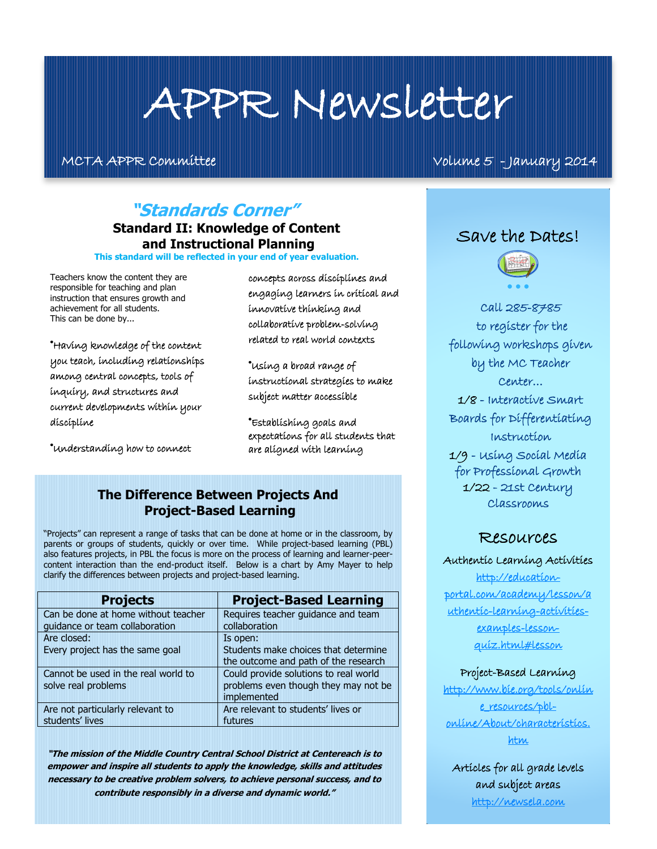# APPR Newsletter

MCTA APPR Committee Volume 5 - January 2014

# **"Standards Corner"**

#### **Standard II: Knowledge of Content and Instructional Planning**

**This standard will be reflected in your end of year evaluation.**

Teachers know the content they are responsible for teaching and plan instruction that ensures growth and achievement for all students. This can be done by...

®Having knowledge of the content you teach, including relationships among central concepts, tools of inquiry, and structures and current developments within your discipline

®Understanding how to connect

concepts across disciplines and engaging learners in critical and innovative thinking and collaborative problem-solving related to real world contexts

®Using a broad range of instructional strategies to make subject matter accessible

®Establishing goals and expectations for all students that are aligned with learning

#### **The Difference Between Projects And Project-Based Learning**

"Projects" can represent a range of tasks that can be done at home or in the classroom, by parents or groups of students, quickly or over time. While project-based learning (PBL) also features projects, in PBL the focus is more on the process of learning and learner-peercontent interaction than the end-product itself. Below is a chart by Amy Mayer to help clarify the differences between projects and project-based learning.

| <b>Projects</b>                     | <b>Project-Based Learning</b>         |
|-------------------------------------|---------------------------------------|
| Can be done at home without teacher | Requires teacher guidance and team    |
| guidance or team collaboration      | collaboration                         |
| Are closed:                         | Is open:                              |
| Every project has the same goal     | Students make choices that determine  |
|                                     | the outcome and path of the research  |
| Cannot be used in the real world to | Could provide solutions to real world |
| solve real problems                 | problems even though they may not be  |
|                                     | implemented                           |
| Are not particularly relevant to    | Are relevant to students' lives or    |
| students' lives                     | futures                               |

**"The mission of the Middle Country Central School District at Centereach is to empower and inspire all students to apply the knowledge, skills and attitudes necessary to be creative problem solvers, to achieve personal success, and to contribute responsibly in a diverse and dynamic world."**

#### Save the Dates!



I.

Call 285-8785 to register for the following workshops given by the MC Teacher Center…

1/8 - Interactive Smart Boards for Differentiating Instruction

1/9 - Using Social Media for Professional Growth 1/22 - 21st Century Classrooms

#### Resources

#### Authentic Learning Activities

[http://education](http://education-portal.com/academy/lesson/authentic-learning-activities-examples-lesson-quiz.html#lesson)[portal.com/academy/lesson/a](http://education-portal.com/academy/lesson/authentic-learning-activities-examples-lesson-quiz.html#lesson) [uthentic-learning-activities](http://education-portal.com/academy/lesson/authentic-learning-activities-examples-lesson-quiz.html#lesson)[examples-lesson](http://education-portal.com/academy/lesson/authentic-learning-activities-examples-lesson-quiz.html#lesson)[quiz.html#lesson](http://education-portal.com/academy/lesson/authentic-learning-activities-examples-lesson-quiz.html#lesson)

#### Project-Based Learning

[http://www.bie.org/tools/onlin](http://www.bie.org/tools/online_resources/pbl-online/About/characteristics.htm) [e\\_resources/pbl](http://www.bie.org/tools/online_resources/pbl-online/About/characteristics.htm)[online/About/characteristics.](http://www.bie.org/tools/online_resources/pbl-online/About/characteristics.htm) [htm](http://www.bie.org/tools/online_resources/pbl-online/About/characteristics.htm)

Articles for all grade levels and subject areas [http://newsela.com](http://newsela.com/)